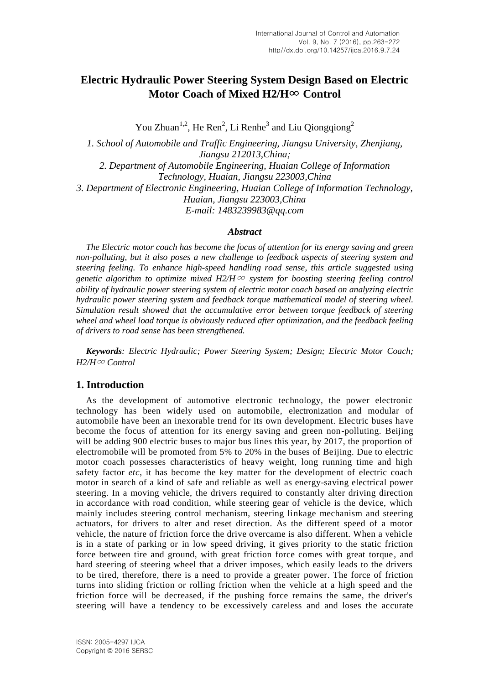# **Electric Hydraulic Power Steering System Design Based on Electric Motor Coach of Mixed H2/H**∞ **Control**

You Zhuan<sup>1,2</sup>, He Ren<sup>2</sup>, Li Renhe<sup>3</sup> and Liu Qiongqiong<sup>2</sup>

*1. School of Automobile and Traffic Engineering, Jiangsu University, Zhenjiang, Jiangsu 212013,China; 2. Department of Automobile Engineering, Huaian College of Information Technology, Huaian, Jiangsu 223003,China 3. Department of Electronic Engineering, Huaian College of Information Technology, Huaian, Jiangsu 223003,China E-mail: 1483239983@qq.com*

## *Abstract*

*The Electric motor coach has become the focus of attention for its energy saving and green non-polluting, but it also poses a new challenge to feedback aspects of steering system and steering feeling. To enhance high-speed handling road sense, this article suggested using genetic algorithm to optimize mixed H2/H*<sup>∞</sup> *system for boosting steering feeling control ability of hydraulic power steering system of electric motor coach based on analyzing electric hydraulic power steering system and feedback torque mathematical model of steering wheel. Simulation result showed that the accumulative error between torque feedback of steering wheel and wheel load torque is obviously reduced after optimization, and the feedback feeling of drivers to road sense has been strengthened.*

*Keywords: Electric Hydraulic; Power Steering System; Design; Electric Motor Coach; H2/H*<sup>∞</sup> *Control*

# **1. Introduction**

As the development of automotive electronic technology, the power electronic technology has been widely used on automobile, electronization and modular of automobile have been an inexorable trend for its own development. Electric buses have become the focus of attention for its energy saving and green non-polluting. Beijing will be adding 900 electric buses to major bus lines this year, by 2017, the proportion of electromobile will be promoted from 5% to 20% in the buses of Beijing. Due to electric motor coach possesses characteristics of heavy weight, long running time and high safety factor *etc*, it has become the key matter for the development of electric coach motor in search of a kind of safe and reliable as well as energy-saving electrical power steering. In a moving vehicle, the drivers required to constantly alter driving direction in accordance with road condition, while steering gear of vehicle is the device, which mainly includes steering control mechanism, steering linkage mechanism and steering actuators, for drivers to alter and reset direction. As the different speed of a motor vehicle, the nature of friction force the drive overcame is also different. When a vehicle is in a state of parking or in low speed driving, it gives priority to the static friction force between tire and ground, with great friction force comes with great torque, and hard steering of steering wheel that a driver imposes, which easily leads to the drivers to be tired, therefore, there is a need to provide a greater power. The force of friction turns into sliding friction or rolling friction when the vehicle at a high speed and the friction force will be decreased, if the pushing force remains the same, the driver's steering will have a tendency to be excessively careless and and loses the accurate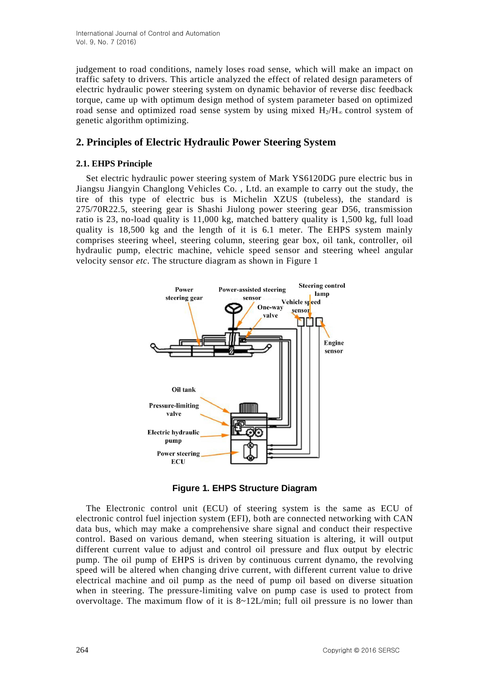judgement to road conditions, namely loses road sense, which will make an impact on traffic safety to drivers. This article analyzed the effect of related design parameters of electric hydraulic power steering system on dynamic behavior of reverse disc feedback torque, came up with optimum design method of system parameter based on optimized road sense and optimized road sense system by using mixed  $H_2/H_\infty$  control system of genetic algorithm optimizing.

# **2. Principles of Electric Hydraulic Power Steering System**

# **2.1. EHPS Principle**

Set electric hydraulic power steering system of Mark YS6120DG pure electric bus in Jiangsu Jiangyin Changlong Vehicles Co. , Ltd. an example to carry out the study, the tire of this type of electric bus is Michelin XZUS (tubeless), the standard is 275/70R22.5, steering gear is Shashi Jiulong power steering gear D56, transmission ratio is 23, no-load quality is 11,000 kg, matched battery quality is 1,500 kg, full load quality is 18,500 kg and the length of it is 6.1 meter. The EHPS system mainly comprises steering wheel, steering column, steering gear box, oil tank, controller, oil hydraulic pump, electric machine, vehicle speed sensor and steering wheel angular velocity sensor *etc*. The structure diagram as shown in Figure 1



**Figure 1. EHPS Structure Diagram**

The Electronic control unit (ECU) of steering system is the same as ECU of electronic control fuel injection system (EFI), both are connected networking with CAN data bus, which may make a comprehensive share signal and conduct their respective control. Based on various demand, when steering situation is altering, it will output different current value to adjust and control oil pressure and flux output by electric pump. The oil pump of EHPS is driven by continuous current dynamo, the revolving speed will be altered when changing drive current, with different current value to drive electrical machine and oil pump as the need of pump oil based on diverse situation when in steering. The pressure-limiting valve on pump case is used to protect from overvoltage. The maximum flow of it is 8~12L/min; full oil pressure is no lower than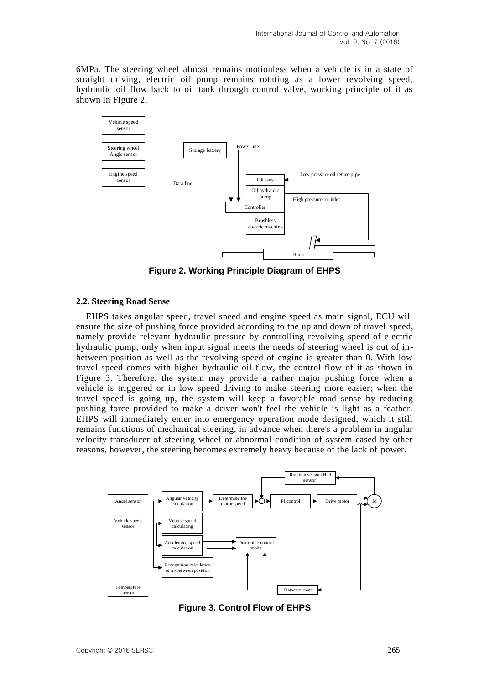6MPa. The steering wheel almost remains motionless when a vehicle is in a state of straight driving, electric oil pump remains rotating as a lower revolving speed, hydraulic oil flow back to oil tank through control valve, working principle of it as shown in Figure 2.



**Figure 2. Working Principle Diagram of EHPS** 

# **2.2. Steering Road Sense**

EHPS takes angular speed, travel speed and engine speed as main signal, ECU will ensure the size of pushing force provided according to the up and down of travel speed, namely provide relevant hydraulic pressure by controlling revolving speed of electric hydraulic pump, only when input signal meets the needs of steering wheel is out of inbetween position as well as the revolving speed of engine is greater than 0. With low travel speed comes with higher hydraulic oil flow, the control flow of it as shown in Figure 3. Therefore, the system may provide a rather major pushing force when a vehicle is triggered or in low speed driving to make steering more easier; when the travel speed is going up, the system will keep a favorable road sense by reducing pushing force provided to make a driver won't feel the vehicle is light as a feather. EHPS will immediately enter into emergency operation mode designed, which it still remains functions of mechanical steering, in advance when there's a problem in angular velocity transducer of steering wheel or abnormal condition of system cased by other reasons, however, the steering becomes extremely heavy because of the lack of power.



**Figure 3. Control Flow of EHPS**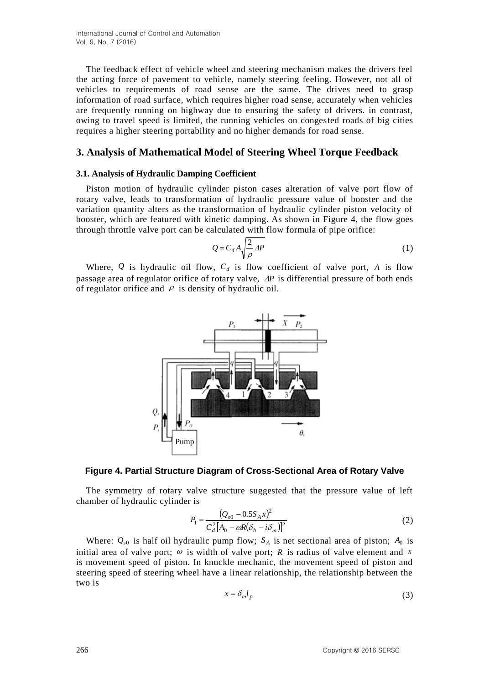International Journal of Control and Automation Vol. 9, No. 7 (2016)

The feedback effect of vehicle wheel and steering mechanism makes the drivers feel the acting force of pavement to vehicle, namely steering feeling. However, not all of vehicles to requirements of road sense are the same. The drives need to grasp information of road surface, which requires higher road sense, accurately when vehicles are frequently running on highway due to ensuring the safety of drivers. in contrast, owing to travel speed is limited, the running vehicles on congested roads of big cities requires a higher steering portability and no higher demands for road sense.

## **3. Analysis of Mathematical Model of Steering Wheel Torque Feedback**

## **3.1. Analysis of Hydraulic Damping Coefficient**

Piston motion of hydraulic cylinder piston cases alteration of valve port flow of rotary valve, leads to transformation of hydraulic pressure value of booster and the variation quantity alters as the transformation of hydraulic cylinder piston velocity of booster, which are featured with kinetic damping. As shown in Figure 4, the flow goes through throttle valve port can be calculated with flow formula of pipe orifice:

$$
Q = C_d A \sqrt{\frac{2}{\rho} \Delta P} \tag{1}
$$

Where,  $Q$  is hydraulic oil flow,  $C_d$  is flow coefficient of valve port, A is flow passage area of regulator orifice of rotary valve,  $\Delta P$  is differential pressure of both ends of regulator orifice and  $\rho$  is density of hydraulic oil.



#### **Figure 4. Partial Structure Diagram of Cross-Sectional Area of Rotary Valve**

The symmetry of rotary valve structure suggested that the pressure value of left chamber of hydraulic cylinder is

$$
P_1 = \frac{(Q_{s0} - 0.5S_A x)^2}{C_d^2 [A_0 - \omega R(\delta_h - i\delta_\omega)]^2}
$$
(2)

Where:  $Q_{s0}$  is half oil hydraulic pump flow;  $S_A$  is net sectional area of piston;  $A_0$  is initial area of valve port;  $\omega$  is width of valve port; R is radius of valve element and x is movement speed of piston. In knuckle mechanic, the movement speed of piston and steering speed of steering wheel have a linear relationship, the relationship between the two is

$$
x = \delta_{\omega} l_p \tag{3}
$$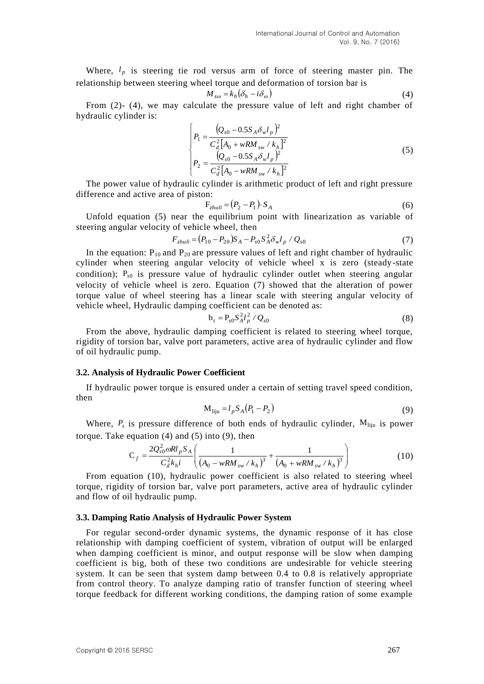Where,  $l_p$  is steering tie rod versus arm of force of steering master pin. The relationship between steering wheel torque and deformation of torsion bar is

$$
M_{so} = k_h(\delta_h - i\delta_\omega) \tag{4}
$$

From (2)- (4), we may calculate the pressure value of left and right chamber of hydraulic cylinder is:

$$
\begin{cases}\nP_1 = \frac{(Q_{s0} - 0.5S_A \delta_w l_p)^2}{C_d^2 [A_0 + wRM_{sw} / k_h]^2} \\
P_2 = \frac{(Q_{s0} - 0.5S_A \delta_w l_p)^2}{C_d^2 [A_0 - wRM_{sw} / k_h]^2}\n\end{cases} \tag{5}
$$

The power value of hydraulic cylinder is arithmetic product of left and right pressure difference and active area of piston:

$$
\mathbf{F}_{\text{zhuli}} = (P_2 - P_1) \cdot \mathbf{S}_A \tag{6}
$$

Unfold equation (5) near the equilibrium point with linearization as variable of steering angular velocity of vehicle wheel, then

$$
F_{\text{zhuli}} = (P_{10} - P_{20})S_A - P_{s0}S_A^2 \delta_w l_p / Q_{s0}
$$
\n<sup>(7)</sup>

In the equation:  $P_{10}$  and  $P_{20}$  are pressure values of left and right chamber of hydraulic cylinder when steering angular velocity of vehicle wheel x is zero (steady-state condition);  $P_{s0}$  is pressure value of hydraulic cylinder outlet when steering angular velocity of vehicle wheel is zero. Equation (7) showed that the alteration of power torque value of wheel steering has a linear scale with steering angular velocity of vehicle wheel, Hydraulic damping coefficient can be denoted as:

$$
b_t = P_{s0} S_A^2 l_p^2 / Q_{s0}
$$
 (8)

From the above, hydraulic damping coefficient is related to steering wheel torque, rigidity of torsion bar, valve port parameters, active area of hydraulic cylinder and flow of oil hydraulic pump.

## **3.2. Analysis of Hydraulic Power Coefficient**

If hydraulic power torque is ensured under a certain of setting travel speed condition, then

$$
M_{\text{liju}} = l_p S_A (P_1 - P_2) \tag{9}
$$

Where,  $P_s$  is pressure difference of both ends of hydraulic cylinder,  $M_{liju}$  is power torque. Take equation  $(4)$  and  $(5)$  into  $(9)$ , then

$$
C_f = \frac{2Q_{s0}^2 \omega R l_p S_A}{C_d^2 k_h i} \left( \frac{1}{\left( A_0 - w R M_{sw} / k_h \right)^3} + \frac{1}{\left( A_0 + w R M_{sw} / k_h \right)^3} \right) \tag{10}
$$

From equation (10), hydraulic power coefficient is also related to steering wheel torque, rigidity of torsion bar, valve port parameters, active area of hydraulic cylinder and flow of oil hydraulic pump.

#### **3.3. Damping Ratio Analysis of Hydraulic Power System**

For regular second-order dynamic systems, the dynamic response of it has close relationship with damping coefficient of system, vibration of output will be enlarged when damping coefficient is minor, and output response will be slow when damping coefficient is big, both of these two conditions are undesirable for vehicle steering system. It can be seen that system damp between 0.4 to 0.8 is relatively appropriate from control theory. To analyze damping ratio of transfer function of steering wheel torque feedback for different working conditions, the damping ration of some example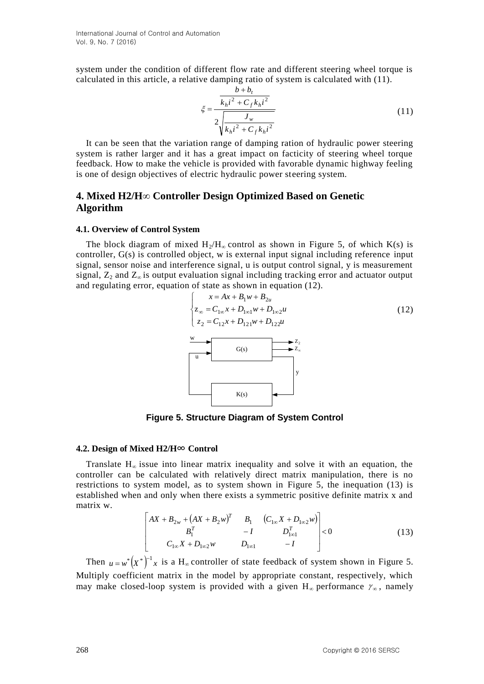system under the condition of different flow rate and different steering wheel torque is calculated in this article, a relative damping ratio of system is calculated with (11).

$$
\xi = \frac{\frac{b+b_t}{k_h i^2 + C_f k_h i^2}}{2\sqrt{\frac{J_w}{k_h i^2 + C_f k_h i^2}}}
$$
(11)

It can be seen that the variation range of damping ration of hydraulic power steering system is rather larger and it has a great impact on facticity of steering wheel torque feedback. How to make the vehicle is provided with favorable dynamic highway feeling is one of design objectives of electric hydraulic power steering system.

# **4. Mixed H2/H∞ Controller Design Optimized Based on Genetic Algorithm**

## **4.1. Overview of Control System**

The block diagram of mixed  $H_2/H_{\infty}$  control as shown in Figure 5, of which K(s) is controller, G(s) is controlled object, w is external input signal including reference input signal, sensor noise and interference signal, u is output control signal, y is measurement signal,  $Z_2$  and  $Z_{\infty}$  is output evaluation signal including tracking error and actuator output and regulating error, equation of state as shown in equation (12).

$$
\begin{cases}\nx = Ax + B_1w + B_{2u} \\
z_{\infty} = C_{1\infty}x + D_{1\infty1}w + D_{1\infty2}u \\
z_2 = C_{12}x + D_{121}w + D_{122}u\n\end{cases}
$$
\n(12)

**Figure 5. Structure Diagram of System Control**

#### **4.2. Design of Mixed H2/H**∞ **Control**

Translate  $H_{\infty}$  issue into linear matrix inequality and solve it with an equation, the controller can be calculated with relatively direct matrix manipulation, there is no restrictions to system model, as to system shown in Figure 5, the inequation (13) is established when and only when there exists a symmetric positive definite matrix x and matrix w.

$$
\begin{bmatrix} AX + B_{2w} + (AX + B_{2w})^{T} & B_{1} & (C_{1\infty}X + D_{1\infty 2}w) \\ B_{1}^{T} & -I & D_{1\infty 1}^{T} \\ C_{1\infty}X + D_{1\infty 2}w & D_{1\infty 1} & -I \end{bmatrix} < 0
$$
 (13)

Then  $u = w^* (x^*)^{-1} x$  is a H<sub>∞</sub> controller of state feedback of system shown in Figure 5. Multiply coefficient matrix in the model by appropriate constant, respectively, which may make closed-loop system is provided with a given  $H_{\infty}$  performance  $\gamma_{\infty}$ , namely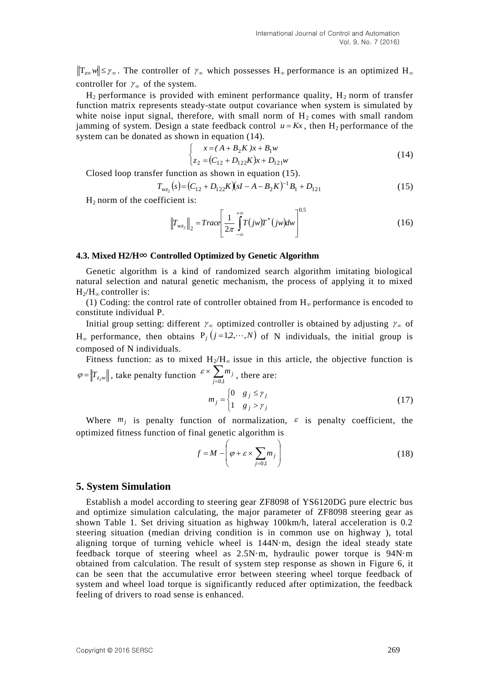. The controller of  $\gamma_{\infty}$  which possesses H<sub>∞</sub> performance is an optimized H<sub>∞</sub> controller for  $\gamma_{\infty}$  of the system.

 $H_2$  performance is provided with eminent performance quality,  $H_2$  norm of transfer function matrix represents steady-state output covariance when system is simulated by white noise input signal, therefore, with small norm of  $H_2$  comes with small random jamming of system. Design a state feedback control  $u = Kx$ , then  $H_2$  performance of the system can be donated as shown in equation (14).

$$
\begin{cases}\n x = (A + B_2 K)x + B_1 w \\
 z_2 = (C_{12} + D_{122} K)x + D_{121} w\n\end{cases}
$$
\n(14)

Closed loop transfer function as shown in equation (15).

$$
T_{w_{z_2}}(s) = (C_{12} + D_{122}K)(sI - A - B_2K)^{-1}B_1 + D_{121}
$$
\n(15)

 $H<sub>2</sub>$  norm of the coefficient is:

$$
\|T_{w_{z_2}}\|_2 = Trace \bigg[ \frac{1}{2\pi} \int_{-\infty}^{+\infty} T(jw) T^*(jw) dw \bigg]^{0.5}
$$
 (16)

# **4.3. Mixed H2/H**∞ **Controlled Optimized by Genetic Algorithm**

Genetic algorithm is a kind of randomized search algorithm imitating biological natural selection and natural genetic mechanism, the process of applying it to mixed  $H_2/H_{\infty}$  controller is:

(1) Coding: the control rate of controller obtained from  $H_{\infty}$  performance is encoded to constitute individual P.

Initial group setting: different  $\gamma_{\infty}$  optimized controller is obtained by adjusting  $\gamma_{\infty}$  of  $H_{\infty}$  performance, then obtains  $P_j$  ( $j = 1, 2, \dots, N$ ) of N individuals, the initial group is composed of N individuals.

Fitness function: as to mixed  $H_2/H_\infty$  issue in this article, the objective function is  $\varphi = \|T_{z_2 w}\|$ , take penalty function  $\epsilon \times \sum_{j=0,2}$ *j*=0,1  $\mathscr{E} \times \sum_{i=1}^{n} m_i$ , there are:

$$
m_j = \begin{cases} 0 & g_j \le \gamma_j \\ 1 & g_j > \gamma_j \end{cases}
$$
 (17)

Where  $m_j$  is penalty function of normalization,  $\varepsilon$  is penalty coefficient, the optimized fitness function of final genetic algorithm is

$$
f = M - \left(\varphi + \varepsilon \times \sum_{j=0,1} m_j\right) \tag{18}
$$

## **5. System Simulation**

 $\left|V_{\infty}\right|_{\infty} \leq \frac{1}{2}$ . The controller of  $Z_{\infty}$  which possesses H<sub>a</sub> performance is an optimized<br>controller for  $z$ , of the system.<br>Thereforements is provided with emiterate performance unitarity. II<sub>2</sub> parton di Establish a model according to steering gear ZF8098 of YS6120DG pure electric bus and optimize simulation calculating, the major parameter of ZF8098 steering gear as shown Table 1. Set driving situation as highway 100km/h, lateral acceleration is 0.2 steering situation (median driving condition is in common use on highway ), total aligning torque of turning vehicle wheel is 144N·m, design the ideal steady state feedback torque of steering wheel as 2.5N·m, hydraulic power torque is 94N·m obtained from calculation. The result of system step response as shown in Figure 6, it can be seen that the accumulative error between steering wheel torque feedback of system and wheel load torque is significantly reduced after optimization, the feedback feeling of drivers to road sense is enhanced.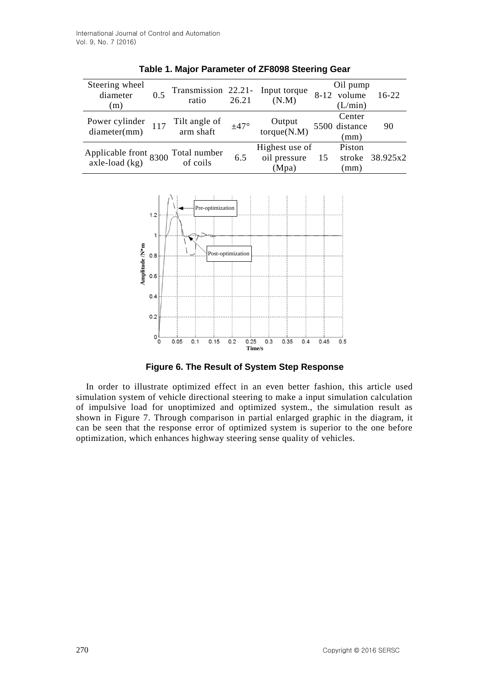| Steering wheel<br>diameter<br>(m)         | 0.5 | Transmission 22.21-<br>ratio | 26.21 | Input torque<br>(N.M)                   |     | Oil pump<br>8-12 volume<br>(L/min) | $16-22$  |
|-------------------------------------------|-----|------------------------------|-------|-----------------------------------------|-----|------------------------------------|----------|
| Power cylinder<br>diameter(mm)            | 117 | Tilt angle of<br>arm shaft   | ±47°  | Output<br>torque(N.M)                   |     | Center<br>5500 distance<br>(mm)    | 90       |
| Applicable front $8300$<br>axle-load (kg) |     | Total number<br>of coils     | 6.5   | Highest use of<br>oil pressure<br>(Mpa) | -15 | Piston<br>stroke<br>(mm)           | 38.925x2 |

**Table 1. Major Parameter of ZF8098 Steering Gear**



**Figure 6. The Result of System Step Response**

In order to illustrate optimized effect in an even better fashion, this article used simulation system of vehicle directional steering to make a input simulation calculation of impulsive load for unoptimized and optimized system., the simulation result as shown in Figure 7. Through comparison in partial enlarged graphic in the diagram, it can be seen that the response error of optimized system is superior to the one before optimization, which enhances highway steering sense quality of vehicles.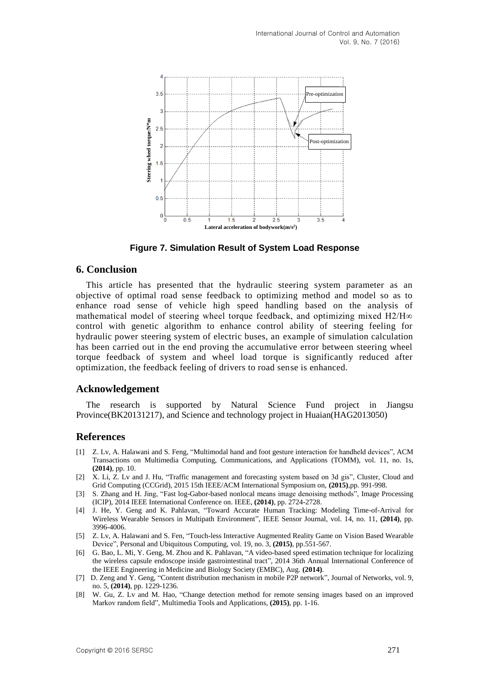

**Figure 7. Simulation Result of System Load Response**

# **6. Conclusion**

This article has presented that the hydraulic steering system parameter as an objective of optimal road sense feedback to optimizing method and model so as to enhance road sense of vehicle high speed handling based on the analysis of mathematical model of steering wheel torque feedback, and optimizing mixed H2/H $\infty$ control with genetic algorithm to enhance control ability of steering feeling for hydraulic power steering system of electric buses, an example of simulation calculation has been carried out in the end proving the accumulative error between steering wheel torque feedback of system and wheel load torque is significantly reduced after optimization, the feedback feeling of drivers to road sense is enhanced.

## **Acknowledgement**

The research is supported by Natural Science Fund project in Jiangsu Province(BK20131217), and Science and technology project in Huaian(HAG2013050)

# **References**

- [1] Z. Lv, A. Halawani and S. Feng, "Multimodal hand and foot gesture interaction for handheld devices", ACM Transactions on Multimedia Computing, Communications, and Applications (TOMM), vol. 11, no. 1s, **(2014)**, pp. 10.
- [2] X. Li, Z. Lv and J. Hu, "Traffic management and forecasting system based on 3d gis", Cluster, Cloud and Grid Computing (CCGrid), 2015 15th IEEE/ACM International Symposium on, **(2015)**,pp. 991-998.
- [3] S. Zhang and H. Jing, "Fast log-Gabor-based nonlocal means image denoising methods", Image Processing (ICIP), 2014 IEEE International Conference on. IEEE, **(2014)**, pp. 2724-2728.
- [4] J. He, Y. Geng and K. Pahlavan, "Toward Accurate Human Tracking: Modeling Time-of-Arrival for Wireless Wearable Sensors in Multipath Environment", IEEE Sensor Journal, vol. 14, no. 11, **(2014)**, pp. 3996-4006.
- [5] Z. Lv, A. Halawani and S. Fen, "Touch-less Interactive Augmented Reality Game on Vision Based Wearable Device", Personal and Ubiquitous Computing, vol. 19, no. 3, **(2015)**, pp.551-567.
- [6] G. Bao, L. Mi, Y. Geng, M. Zhou and K. Pahlavan, "A video-based speed estimation technique for localizing the wireless capsule endoscope inside gastrointestinal tract", 2014 36th Annual International Conference of the IEEE Engineering in Medicine and Biology Society (EMBC), Aug. **(2014)**.
- [7] D. Zeng and Y. Geng, "Content distribution mechanism in mobile P2P network", Journal of Networks, vol. 9, no. 5, **(2014)**, pp. 1229-1236.
- [8] W. Gu, Z. Lv and M. Hao, "Change detection method for remote sensing images based on an improved Markov random field", Multimedia Tools and Applications, **(2015)**, pp. 1-16.